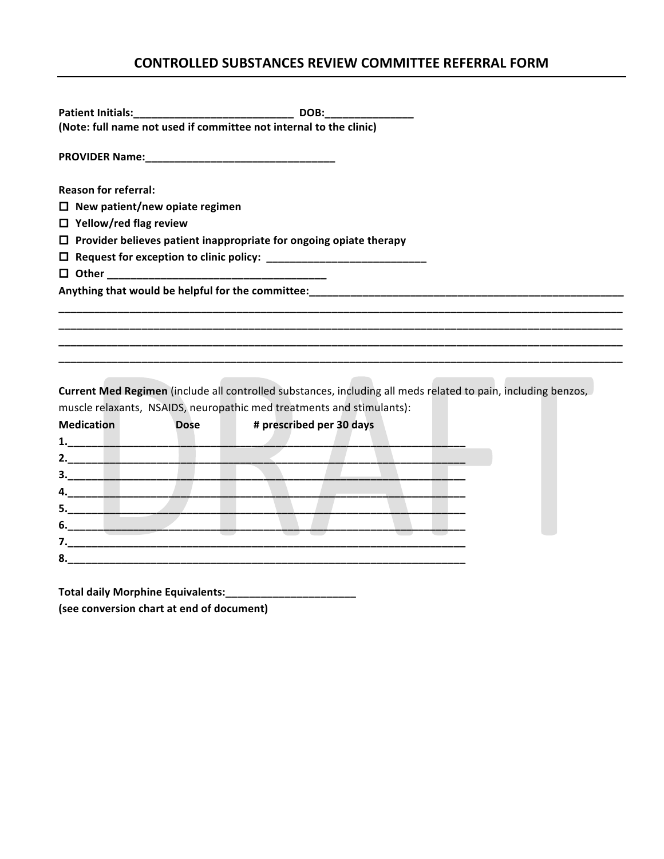## **CONTROLLED SUBSTANCES REVIEW COMMITTEE REFERRAL FORM**

| <b>Patient Initials:</b>                  |             | DOB:                                                                      |                                                                                                               |
|-------------------------------------------|-------------|---------------------------------------------------------------------------|---------------------------------------------------------------------------------------------------------------|
|                                           |             | (Note: full name not used if committee not internal to the clinic)        |                                                                                                               |
|                                           |             |                                                                           |                                                                                                               |
| <b>Reason for referral:</b>               |             |                                                                           |                                                                                                               |
| $\Box$ New patient/new opiate regimen     |             |                                                                           |                                                                                                               |
| $\Box$ Yellow/red flag review             |             |                                                                           |                                                                                                               |
|                                           |             | $\Box$ Provider believes patient inappropriate for ongoing opiate therapy |                                                                                                               |
|                                           |             |                                                                           |                                                                                                               |
|                                           |             |                                                                           |                                                                                                               |
|                                           |             |                                                                           |                                                                                                               |
|                                           |             |                                                                           |                                                                                                               |
|                                           |             |                                                                           |                                                                                                               |
|                                           |             |                                                                           |                                                                                                               |
|                                           |             |                                                                           |                                                                                                               |
|                                           |             |                                                                           |                                                                                                               |
|                                           |             |                                                                           | Current Med Regimen (include all controlled substances, including all meds related to pain, including benzos, |
|                                           |             | muscle relaxants, NSAIDS, neuropathic med treatments and stimulants):     |                                                                                                               |
| <b>Medication</b>                         | <b>Dose</b> | # prescribed per 30 days                                                  |                                                                                                               |
|                                           |             |                                                                           |                                                                                                               |
|                                           |             |                                                                           |                                                                                                               |
|                                           |             |                                                                           |                                                                                                               |
|                                           |             |                                                                           |                                                                                                               |
|                                           |             |                                                                           |                                                                                                               |
|                                           |             |                                                                           |                                                                                                               |
|                                           |             |                                                                           |                                                                                                               |
|                                           |             |                                                                           |                                                                                                               |
|                                           |             |                                                                           |                                                                                                               |
|                                           |             |                                                                           |                                                                                                               |
| (see conversion chart at end of document) |             |                                                                           |                                                                                                               |
|                                           |             |                                                                           |                                                                                                               |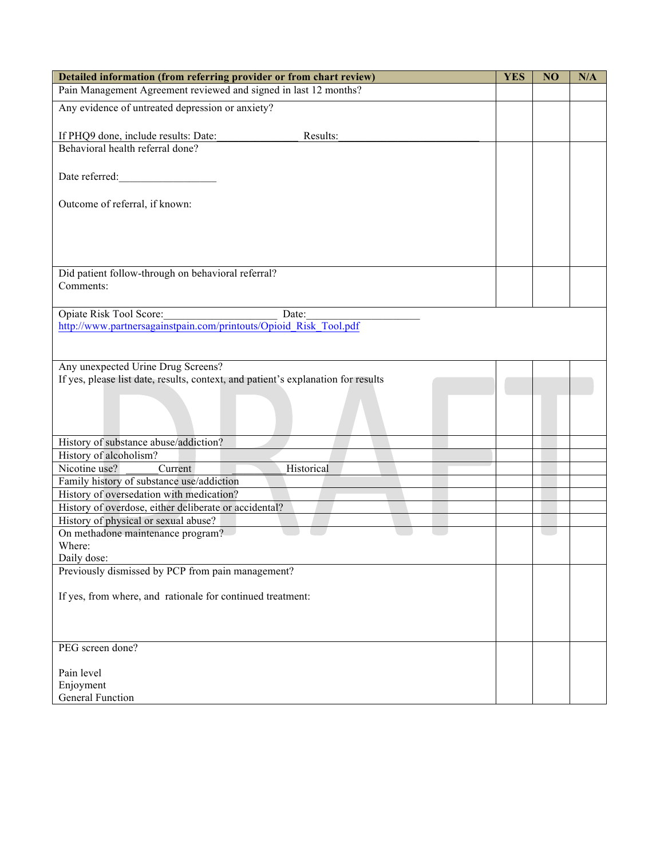| Detailed information (from referring provider or from chart review)                                                                      | <b>YES</b> | NO | N/A |
|------------------------------------------------------------------------------------------------------------------------------------------|------------|----|-----|
| Pain Management Agreement reviewed and signed in last 12 months?                                                                         |            |    |     |
| Any evidence of untreated depression or anxiety?                                                                                         |            |    |     |
|                                                                                                                                          |            |    |     |
| If PHQ9 done, include results: Date:<br>Results:                                                                                         |            |    |     |
| Behavioral health referral done?                                                                                                         |            |    |     |
|                                                                                                                                          |            |    |     |
| Date referred:                                                                                                                           |            |    |     |
| Outcome of referral, if known:                                                                                                           |            |    |     |
|                                                                                                                                          |            |    |     |
|                                                                                                                                          |            |    |     |
|                                                                                                                                          |            |    |     |
|                                                                                                                                          |            |    |     |
| Did patient follow-through on behavioral referral?                                                                                       |            |    |     |
| Comments:                                                                                                                                |            |    |     |
| Opiate Risk Tool Score:<br>Date:                                                                                                         |            |    |     |
| Opiate Risk Tool Score: Date: Date: Date: Date: Date: Disk Tool.pdf<br>http://www.partnersagainstpain.com/printouts/Opioid_Risk Tool.pdf |            |    |     |
|                                                                                                                                          |            |    |     |
|                                                                                                                                          |            |    |     |
| Any unexpected Urine Drug Screens?                                                                                                       |            |    |     |
| If yes, please list date, results, context, and patient's explanation for results                                                        |            |    |     |
|                                                                                                                                          |            |    |     |
|                                                                                                                                          |            |    |     |
|                                                                                                                                          |            |    |     |
| History of substance abuse/addiction?                                                                                                    |            |    |     |
| History of alcoholism?<br>Nicotine use?<br>Current<br>Historical                                                                         |            |    |     |
| Family history of substance use/addiction                                                                                                |            |    |     |
| History of oversedation with medication?                                                                                                 |            |    |     |
| History of overdose, either deliberate or accidental?                                                                                    |            |    |     |
| History of physical or sexual abuse?                                                                                                     |            |    |     |
| On methadone maintenance program?<br>Where:                                                                                              |            |    |     |
| Daily dose:                                                                                                                              |            |    |     |
| Previously dismissed by PCP from pain management?                                                                                        |            |    |     |
|                                                                                                                                          |            |    |     |
| If yes, from where, and rationale for continued treatment:                                                                               |            |    |     |
|                                                                                                                                          |            |    |     |
|                                                                                                                                          |            |    |     |
| PEG screen done?                                                                                                                         |            |    |     |
|                                                                                                                                          |            |    |     |
| Pain level                                                                                                                               |            |    |     |
| Enjoyment<br>General Function                                                                                                            |            |    |     |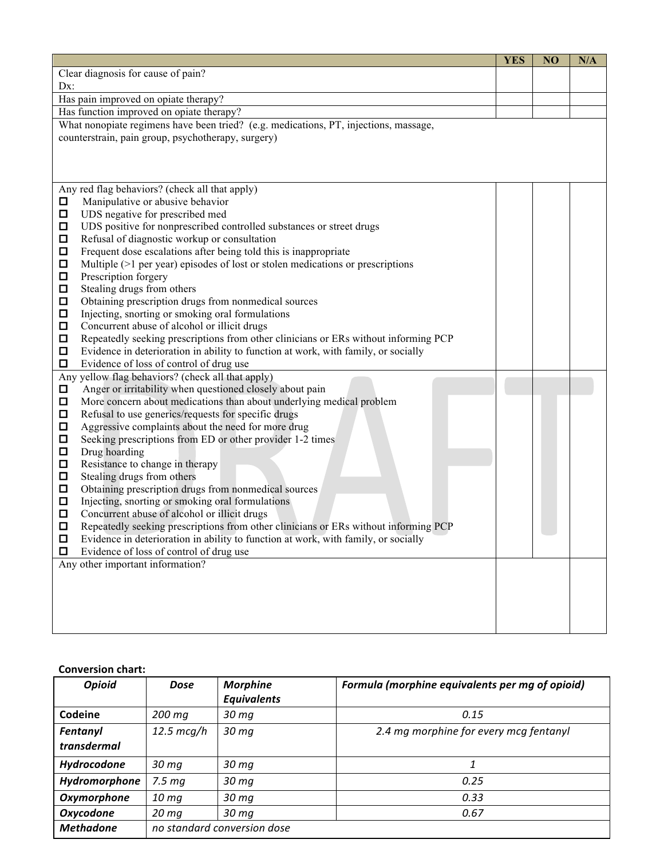|        |                                                                                      | <b>YES</b> | NO | N/A |
|--------|--------------------------------------------------------------------------------------|------------|----|-----|
|        | Clear diagnosis for cause of pain?                                                   |            |    |     |
| Dx:    |                                                                                      |            |    |     |
|        | Has pain improved on opiate therapy?                                                 |            |    |     |
|        | Has function improved on opiate therapy?                                             |            |    |     |
|        | What nonopiate regimens have been tried? (e.g. medications, PT, injections, massage, |            |    |     |
|        | counterstrain, pain group, psychotherapy, surgery)                                   |            |    |     |
|        |                                                                                      |            |    |     |
|        |                                                                                      |            |    |     |
|        |                                                                                      |            |    |     |
| 0      | Any red flag behaviors? (check all that apply)<br>Manipulative or abusive behavior   |            |    |     |
| $\Box$ | UDS negative for prescribed med                                                      |            |    |     |
| $\Box$ | UDS positive for nonprescribed controlled substances or street drugs                 |            |    |     |
| □      | Refusal of diagnostic workup or consultation                                         |            |    |     |
| $\Box$ | Frequent dose escalations after being told this is inappropriate                     |            |    |     |
| □      | Multiple $(>1$ per year) episodes of lost or stolen medications or prescriptions     |            |    |     |
| □      | Prescription forgery                                                                 |            |    |     |
| $\Box$ | Stealing drugs from others                                                           |            |    |     |
| □      | Obtaining prescription drugs from nonmedical sources                                 |            |    |     |
| $\Box$ | Injecting, snorting or smoking oral formulations                                     |            |    |     |
| $\Box$ | Concurrent abuse of alcohol or illicit drugs                                         |            |    |     |
| □      | Repeatedly seeking prescriptions from other clinicians or ERs without informing PCP  |            |    |     |
| □      | Evidence in deterioration in ability to function at work, with family, or socially   |            |    |     |
| $\Box$ | Evidence of loss of control of drug use                                              |            |    |     |
|        | Any yellow flag behaviors? (check all that apply)                                    |            |    |     |
| □      | Anger or irritability when questioned closely about pain                             |            |    |     |
| $\Box$ | More concern about medications than about underlying medical problem                 |            |    |     |
| $\Box$ | Refusal to use generics/requests for specific drugs                                  |            |    |     |
| $\Box$ | Aggressive complaints about the need for more drug                                   |            |    |     |
| □      | Seeking prescriptions from ED or other provider 1-2 times                            |            |    |     |
| □      | Drug hoarding                                                                        |            |    |     |
| □      | Resistance to change in therapy                                                      |            |    |     |
| $\Box$ | Stealing drugs from others                                                           |            |    |     |
| $\Box$ | Obtaining prescription drugs from nonmedical sources                                 |            |    |     |
| □      | Injecting, snorting or smoking oral formulations                                     |            |    |     |
| $\Box$ | Concurrent abuse of alcohol or illicit drugs                                         |            |    |     |
| □      | Repeatedly seeking prescriptions from other clinicians or ERs without informing PCP  |            |    |     |
| $\Box$ | Evidence in deterioration in ability to function at work, with family, or socially   |            |    |     |
| О      | Evidence of loss of control of drug use                                              |            |    |     |
|        | Any other important information?                                                     |            |    |     |
|        |                                                                                      |            |    |     |
|        |                                                                                      |            |    |     |
|        |                                                                                      |            |    |     |
|        |                                                                                      |            |    |     |
|        |                                                                                      |            |    |     |

**Conversion chart:**

| <b>Opioid</b>           | Dose                 | <b>Morphine</b><br><b>Equivalents</b> | Formula (morphine equivalents per mg of opioid) |
|-------------------------|----------------------|---------------------------------------|-------------------------------------------------|
| Codeine                 | 200 mg               | 30 <sub>mg</sub>                      | 0.15                                            |
| Fentanyl<br>transdermal | $12.5 \text{ mcg/h}$ | 30 <sub>mg</sub>                      | 2.4 mg morphine for every mcg fentanyl          |
| Hydrocodone             | 30 <sub>mg</sub>     | 30 mg                                 | 1                                               |
| Hydromorphone           | 7.5 <sub>mg</sub>    | 30 <sub>mg</sub>                      | 0.25                                            |
| Oxymorphone             | 10 <sub>mg</sub>     | 30 <sub>mg</sub>                      | 0.33                                            |
| <b>Oxycodone</b>        | 20 <sub>mg</sub>     | 30 mg                                 | 0.67                                            |
| <b>Methadone</b>        |                      | no standard conversion dose           |                                                 |